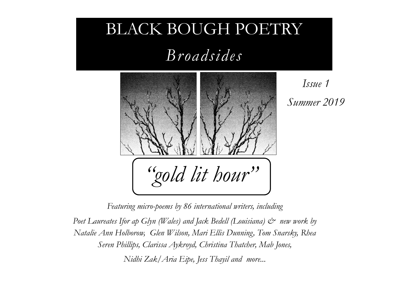## BLACK BOUGH POETRY

*Broadsides*



*Issue 1 Summer 2019* 

*Featuring micro-poems by 86 international writers, including* 

*Poet Laureates Ifor ap Glyn (Wales) and Jack Bedell (Louisiana)*  $\mathcal{O}$  *new work by Natalie Ann Holborow, Glen Wilson, Mari Ellis Dunning, Tom Snarsky, Rhea Seren Phillips, Clarissa Aykroyd, Christina Thatcher, Mab Jones, Nidhi Zak/Aria Eipe, Jess Thayil and more...*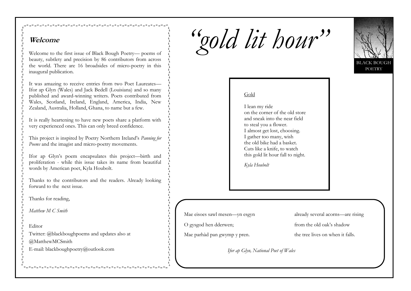# *"gold lit hour"*



Welcome to the first issue of Black Bough Poetry— poems of beauty, subtlety and precision by 86 contributors from across the world. There are 16 broadsides of micro-poetry in this inaugural publication.

It was amazing to receive entries from two Poet Laureates— Ifor ap Glyn (Wales) and Jack Bedell (Louisiana) and so many published and award-winning writers. Poets contributed from Wales, Scotland, Ireland, England, America, India, New Zealand, Australia, Holland, Ghana, to name but a few.

It is really heartening to have new poets share a platform with very experienced ones. This can only breed confidence.

This project is inspired by Poetry Northern Ireland's *Panning for Poems* and the imagist and micro-poetry movements.

Ifor ap Glyn's poem encapsulates this project—birth and proliferation - while this issue takes its name from beautiful words by American poet, Kyla Houbolt.

Thanks to the contributors and the readers. Already looking forward to the next issue.

Thanks for reading,

*Matthew M C Smith* 

Editor

Twitter: @blackboughpoems and updates also at

@MatthewMCSmith

E-mail: blackboughpoetry@outlook.com

#### Gold

I lean my ride on the corner of the old store and sneak into the near field to steal you a flower. I almost get lost, choosing. I gather too many, wish the old bike had a basket. Cuts like a knife, to watch this gold lit hour fall to night.

*Kyla Houbolt*

Mae eisoes sawl mesen—yn esgyn

O gysgod hen dderwen;

Mae parhàd pan gwymp y pren.

already several acorns—are rising

from the old oak's shadow

the tree lives on when it falls.

*Ifor ap Glyn, National Poet of Wales*

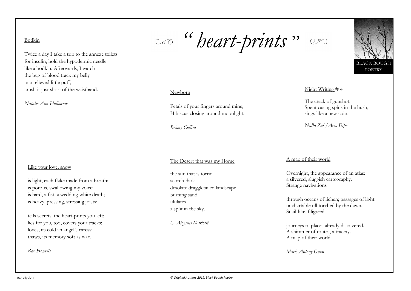#### Bodkin

Twice a day I take a trip to the annexe toilets for insulin, hold the hypodermic needle like a bodkin. Afterwards, I watch the bug of blood track my belly in a relieved little puff, crush it just short of the waistband.

*Natalie Ann Holborow*

#### Like your love, snow

is light, each flake made from a breath; is porous, swallowing my voice; is hard, a fist, a wedding-white death; is heavy, pressing, stressing joists;

tells secrets, the heart-prints you left; lies for you, too, covers your tracks; loves, its cold an angel's caress; thaws, its memory soft as wax.

*Rae Howells*

*" heart-prints* "

#### Newborn

Petals of your fingers around mine; Hibiscus closing around moonlight.

*Briony Collins*

#### The Desert that was my Home

the sun that is torrid scorch-dark desolate draggletailed landscape burning sand ululates a split in the sky.

*C. Aloysius Mariotti*

#### A map of their world

Overnight, the appearance of an atlas: a silvered, sluggish cartography. Strange navigations

Night Writing # 4

The crack of gunshot.

sings like a new coin.

*Nidhi Zak/Aria Eipe* 

Spent casing spins in the hush,

through oceans of lichen; passages of light unchartable till torched by the dawn. Snail-like, filigreed

journeys to places already discovered. A shimmer of routes, a tracery. A map of their world.

*Mark Antony Owen*

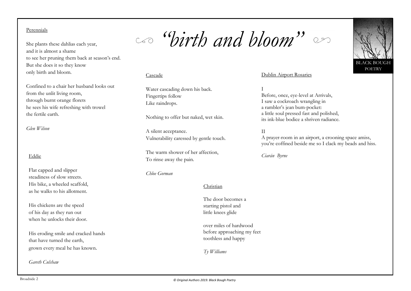#### Perennials

She plants these dahlias each year, and it is almost a shame to see her pruning them back at season's end. But she does it so they know only birth and bloom.

Confined to a chair her husband looks out from the unlit living room, through burnt orange florets he sees his wife refreshing with trowel the fertile earth.

*Glen Wilson*

#### Eddie

Flat capped and slipper steadiness of slow streets. His bike, a wheeled scaffold, as he walks to his allotment.

His chickens are the speed of his day as they run out when he unlocks their door.

His eroding smile and cracked hands that have turned the earth, grown every meal he has known.

*Gareth Culshaw*

*"birth and bloom"*

#### Cascade

Water cascading down his back. Fingertips follow Like raindrops.

Nothing to offer but naked, wet skin.

A silent acceptance. Vulnerability caressed by gentle touch.

The warm shower of her affection, To rinse away the pain.

#### *Chloe Gorman*

#### Christian

The door becomes a starting pistol and little knees glide

over miles of hardwood before approaching my feet toothless and happy

*Ty Williams*

#### Dublin Airport Rosaries

I Before, once, eye-level at Arrivals, I saw a cockroach wrangling in a rambler's jean bum-pocket: a little soul pressed fast and polished, its ink-blue bodice a shriven radiance.

#### II

A prayer-room in an airport, a crooning space amiss, you're coffined beside me so I clack my beads and hiss.

*Ciarán Byrne*

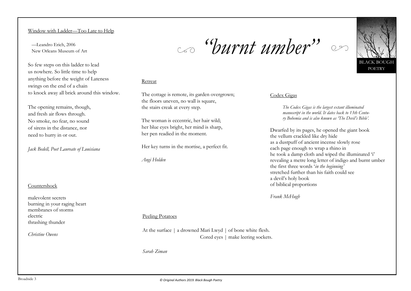#### Window with Ladder—Too Late to Help

 —Leandro Erich, 2006 New Orleans Museum of Art

So few steps on this ladder to lead us nowhere. So little time to help anything before the weight of Lateness swings on the end of a chain to knock away all brick around this window.

The opening remains, though, and fresh air flows through. No smoke, no fear, no sound of sirens in the distance, nor need to hurry in or out.

*Jack Bedell, Poet Laureate of Louisiana*

#### **Countershock**

malevolent secrets burning in your raging heart membranes of storms electric thrashing thunder

*Christine Owens*

## *"burnt umber"*

#### Retreat

The cottage is remote, its garden overgrown; the floors uneven, no wall is square, the stairs creak at every step.

The woman is eccentric, her hair wild; her blue eyes bright, her mind is sharp, her pen readied in the moment.

Her key turns in the mortise, a perfect fit.

*Angi Holden*

#### Codex Gigas

*The Codex Gigas is the largest extant illuminated manuscript in the world. It dates back to 13th Century Bohemia and is also known as 'The Devil's Bible'.*

Dwarfed by its pages, he opened the giant book the vellum crackled like dry hide as a dustpuff of ancient incense slowly rose each page enough to wrap a rhino in he took a damp cloth and wiped the illuminated 'i' revealing a metre long letter of indigo and burnt umber the first three words '*in the beginning'* stretched further than his faith could see a devil's holy book of biblical proportions

*Frank McHugh*

#### Peeling Potatoes

At the surface | a drowned Mari Lwyd | of bone white flesh. Cored eyes | make leering sockets.

*Sarah Ziman*

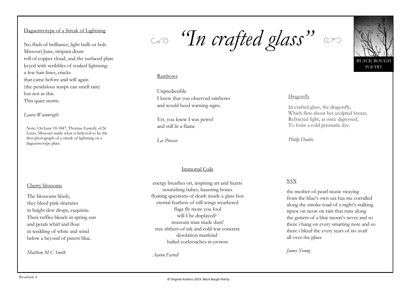#### Daguerreotype of a Streak of Lightning

No flash of brilliance, light bulb or bolt. Missouri June, timpani drum roll of copper cloud, and the surfaced plate keyed with scribbles of soaked lightning: a few hair-lines, cracks that came before and will again (the pendulous wasps can smell rain) but not as this. This quiet storm.

#### *Laura Wainwright*

Note: On June 18 1847, Thomas Easterly of St Louis, Missouri made what is believed to be the first photograph of a streak of lightning on a daguerreotype plate.

#### Cherry blossoms

The blossoms blush, they bleed pink tinctures in bright dew drops, exquisite. Their ruffles bleach in spring sun and petals whirl and float in wedding of white and wind below a beyond of purest blue.

*Matthew M C Smith*

*"In crafted glass"*

#### Rainbows

Unpredictable I knew that you observed rainbows and would heed warning signs.

Yet, you knew I was petrol and still lit a flame

*Lee Prosser*

#### Immortal Coils

energy breathes on, inspiring art and hearts nourishing babes, haunting bones floating questions of death inside a glass box eternal feathers of still wings weathered flags fly more you fool will I be displayed? museum man made dust! tree slithers of ink and cold war concrete desolation mankind hailed cockroaches in crowns

*Aaron Farrell*

#### Dragonfly

In crafted glass, the dragonfly, Which flew about her sculpted breast, Refracted light, at once digressed, To form a cold prismatic dye.

*Philip Dantès*

#### SAX

the mother-of-pearl music swaying from the blue's own sax has me corralled along the smoke road of a night's stalking tiptoe on neon on rain that runs along the gutters of a blue moon's never and so there i hang on every smarting note and so there i bleed the every tears of no avail all over the place

*James Young*

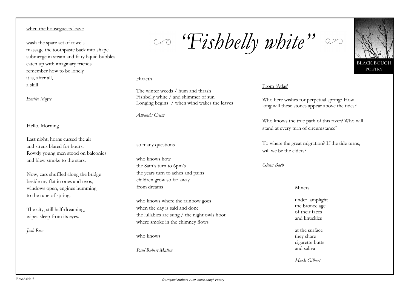#### when the houseguests leave

wash the spare set of towels massage the toothpaste back into shape submerge in steam and fairy liquid bubbles catch up with imaginary friends remember how to be lonely it is, after all, a skill

*Emilee Moyce*

#### Hello, Morning

Last night, horns cursed the air and sirens blared for hours. Rowdy young men stood on balconies and blew smoke to the stars.

Now, cars shuffled along the bridge beside my flat in ones and twos, windows open, engines humming to the tune of spring.

The city, still half-dreaming, wipes sleep from its eyes.

*Josh Rees*

# *"Fishbelly white"*



The winter weeds / hum and thrash Fishbelly white / and shimmer of sun Longing begins / when wind wakes the leaves

*Amanda Crum*

#### so many questions

who knows how the 8am's turn to 6pm's the years turn to aches and pains children grow so far away from dreams

who knows where the rainbow goes when the day is said and done the lullabies are sung / the night owls hoot where smoke in the chimney flows

who knows

*Paul Robert Mullen*

#### From 'Atlas'

Who here wishes for perpetual spring? How long will these stones appear above the tides?

Who knows the true path of this river? Who will stand at every turn of circumstance?

To where the great migration? If the tide turns, will we be the elders?

*Glenn Bach*

#### Miners

under lamplight the bronze age of their faces and knuckles

at the surface they share cigarette butts and saliva

*Mark Gilbert*

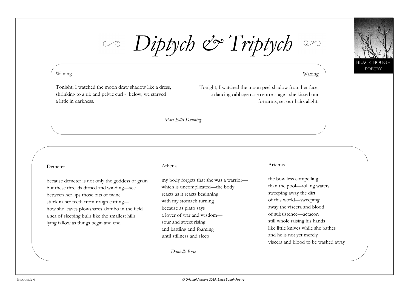

*Diptych & Triptych*

#### Waning

Tonight, I watched the moon draw shadow like a dress, shrinking to a rib and pelvic curl - below, we starved a little in darkness.

#### Waxing

Tonight, I watched the moon peel shadow from her face, a dancing cabbage rose centre-stage - she kissed our forearms, set our hairs alight.

*Mari Ellis Dunning*

#### Demeter

because demeter is not only the goddess of grain but these threads dirtied and winding—see between her lips those bits of twine stuck in her teeth from rough cutting how she leaves plowshares akimbo in the field a sea of sleeping bulls like the smallest hills lying fallow as things begin and end

#### Athena

my body forgets that she was a warrior which is uncomplicated—the body reacts as it reacts beginning with my stomach turning because as plato says a lover of war and wisdom sour and sweet rising and battling and foaming until stillness and sleep

*Danielle Rose*

#### Artemis

the bow less compelling than the pool—rolling waters sweeping away the dirt of this world—sweeping away the viscera and blood of subsistence—actaeon still whole raising his hands like little knives while she bathes and he is not yet merely viscera and blood to be washed away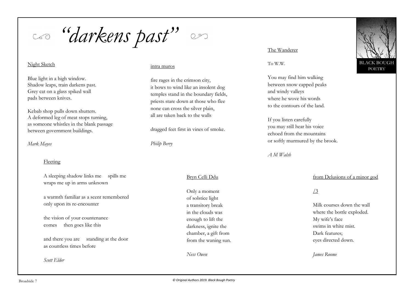*"darkens past"*

#### Night Sketch

Blue light in a high window. Shadow leaps, train darkens past. Grey cat on a glass spiked wall pads between knives.

Kebab shop pulls down shutters. A deformed leg of meat stops turning, as someone whistles in the blank passage between government buildings.

*Mark Mayes*

#### Fleeting

A sleeping shadow links me spills me wraps me up in arms unknown

a warmth familiar as a scent remembered only upon its re-encounter

the vision of your countenance comes then goes like this

and there you are standing at the door as countless times before

*Scott Elder*

#### intra muros

fire rages in the crimson city, it bows to wind like an insolent dog temples stand in the boundary fields, priests stare down at those who flee none can cross the silver plain, all are taken back to the walls

dragged feet first in vines of smoke.

*Philip Berry*

#### Bryn Celli Ddu

Only a moment of solstice light a transitory break in the clouds was enough to lift the darkness, ignite the chamber, a gift from from the waning sun.

*Ness Owen*

#### The Wanderer

To W.W.

You may find him walking between snow capped peaks and windy valleys where he wove his words to the contours of the land.

If you listen carefully you may still hear his voice echoed from the mountains or softly murmured by the brook.

*A M Walsh*

#### from Delusions of a minor god

#### /3

Milk courses down the wall where the bottle exploded. My wife's face swims in white mist. Dark features; eyes directed down.

*James Roome*

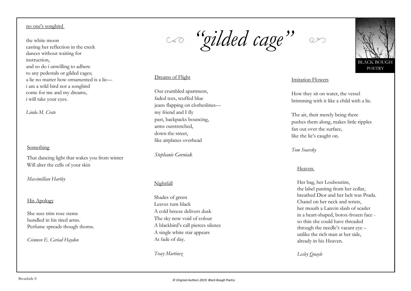#### no one's songbird

#### the white moon casting her reflection in the creek dances without waiting for instruction, and so do i unwilling to adhere to any pedestals or gilded cages; a lie no matter how ornamented is a lie i am a wild bird not a songbird come for me and my dreams, i will take your eyes.

*Linda M. Crate*

#### Something

That dancing light that wakes you from winter Will alter the cells of your skin

*Maximillian Hartley*

#### His Apology

She sees trim rose stems bundled in his tired arms. Perfume spreads though thorns.

*Ceinwen E. Cariad Haydon*

*"gilded cage"*

#### Dreams of Flight

Our crumbled apartment, faded tees, scuffed blue jeans flapping on clotheslines my friend and I fly past, backpacks bouncing, arms outstretched, down the street, like airplanes overhead

*Stephanie Gorniak*

#### Nightfall

Shades of green Leaves turn black A cold breeze delivers dusk The sky now void of colour A blackbird's call pierces silence A single white star appears At fade of day.

*Tracy Martinez*

 $O<sub>2</sub>$ 



#### Imitation Flowers

How they sit on water, the vessel brimming with it like a child with a lie.

The air, their merely being there pushes them along, makes little ripples fan out over the surface, like the lie's caught on.

*Tom Snarsky*

#### Heaven.

Her bag, her Louboutins, the label panting from her collar, breathed Dior and her belt was Prada. Chanel on her neck and wrists, her mouth a Lanvin slash of scarlet in a heart-shaped, botox-frozen face so thin she could have threaded through the needle's vacant eye unlike the rich man at her side, already in his Heaven.

*Lesley Quayle*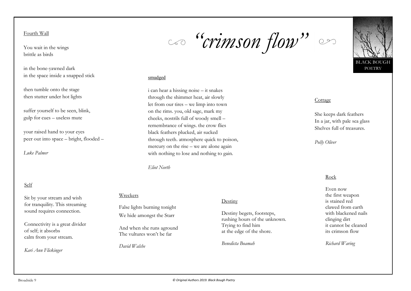Fourth Wall

You wait in the wings brittle as birds

in the bone-yawned dark in the space inside a snapped stick

then tumble onto the stage then stutter under hot lights

suffer yourself to be seen, blink, gulp for cues – useless mute

your raised hand to your eyes peer out into space – bright, flooded –

*Luke Palmer*

#### Self

Sit by your stream and wish for tranquility. This streaming sound requires connection.

Connectivity is a great divider of self; it absorbs calm from your stream.

*Kari Ann Flickinger*

#### Wreckers

False lights burning tonight We hide amongst the Starr

*Eliot North*

And when she runs aground The vultures won't be far

*David Walshe*

### Destiny

Destiny begets, footsteps, rushing hours of the unknown. Trying to find him at the edge of the shore.

*Benedicta Boamah*

*Richard Waring*

#### Cottage

She keeps dark feathers In a jar, with pale sea glass Shelves full of treasures.

*Polly Oliver*

#### Rock

Even now the first weapon is stained red clawed from earth with blackened nails clinging dirt it cannot be cleaned its crimson flow

*© Original Authors 2019. Black Bough Poetry* 



## *"crimson flow"*

i can hear a hissing noise – it snakes through the shimmer heat, air slowly let from our tires – we limp into town on the rims. you, old sage, mark my cheeks, nostrils full of woody smell – remembrance of wings. the crow flies black feathers plucked, air sucked

through teeth. atmosphere quick to poison, mercury on the rise – we are alone again with nothing to lose and nothing to gain.

smudged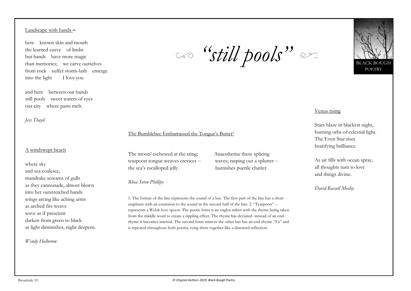#### Landscape with hands **–**

here known skin and mouth the learned curve of limbs but hands have more magic than memories; we carve ourselves from rock suffer storm-lash emerge into the light I love you

and here between our hands still pools sweet waters of eyes our city where pasts melt.

*Jess Thayil*

#### A windswept beach

where sky and sea coalesce, mandrake screams of gulls as they cannonade, almost blown into her outstretched hands wings arcing like aching arms as arched firs weave wave as if prescient darken from green to black as light diminishes, night deepens.

*Wendy Holborow*

*"still pools"*



#### Venus rising

Stars blaze in blackest night, burning orbs of celestial light. The Even Star rises beatifying brilliance.

As air fills with ocean spray, all thoughts turn to love and things divine.

*David Russell Mosley*

#### The Bumblebee Embarrassed the Tongue's Butter<sup>1</sup>

The moon<sup>2</sup> eschewed at the sting; Anaesthetise these splicing teaspoon tongue weaves crevices  $-$  waves; rasping out a splutter  $$ the sea's escalloped jelly. burnishes puerile chatter.

*Rhea Seren Phillips*

1. The format of the line represents the sound of a bee. The first part of the line has a short emphasis with an extension to the sound in the second half of the line. 2. "Teaspoon" – represents a Welsh love spoon. The poetic form is an englyn milwr with the rhyme being taken from the middle word to create a rippling effect. The rhyme has deviated- instead of an endrhyme it becomes internal. The second form mirrors the other but has an end-rhyme "Es" and is repeated throughout both poems, tying them together like a distorted reflection.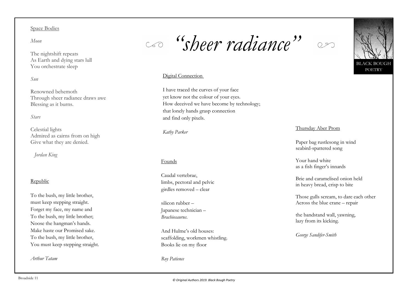Space Bodies

*Moon*

The nightshift repeats As Earth and dying stars lull You orchestrate sleep

*Sun*

Renowned behemoth Through sheer radiance draws awe Blessing as it burns.

*Stars*

Celestial lights Admired as cairns from on high Give what they are denied.

*Jordan King*

#### Republic

To the bush, my little brother, must keep stepping straight. Forget my face, my name and To the bush, my little brother; Noose the hangman's hands. Make haste our Promised sake. To the bush, my little brother, You must keep stepping straight.

*Arthur Tatam*

*"sheer radiance"*



BLACK BOUGH POETRY

#### Digital Connection

I have traced the curves of your face yet know not the colour of your eyes. How deceived we have become by technology; that lonely hands grasp connection and find only pixels.

*Kathy Parker*

#### Founds

Caudal vertebrae, limbs, pectoral and pelvic girdles removed – clear

silicon rubber – Japanese technician – *Brachiosaurus*.

And Hulme's old houses: scaffolding, workmen whistling. Books lie on my floor

*Roy Patience*

#### Thursday Aber Prom

Paper bag rustlesong in wind seabird-spattered song

Your hand white as a fish finger's innards

Brie and caramelised onion held in heavy bread, crisp to bite

Those gulls scream, to dare each other Across the blue crane – repair

the bandstand wall, yawning, lazy from its kicking.

*George Sandifer-Smith*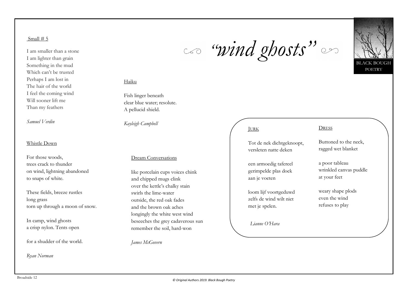#### Small  $# 5$

I am smaller than a stone I am lighter than grain Something in the mud Which can't be trusted Perhaps I am lost in The hair of the world I feel the coming wind Will sooner lift me Than my feathers

*Samuel Verdin*

#### Whistle Down

For those woods, trees crack to thunder on wind, lightning abandoned to snaps of white.

These fields, breeze rustles long grass torn up through a moon of snow.

In camp, wind ghosts a crisp nylon. Tents open

for a shudder of the world.

*Ryan Norman*

### Haiku

Fish linger beneath clear blue water; resolute. A pellucid shield.

*Kayleigh Campbell*

#### Dream Conversations

like porcelain cups voices chink and chipped mugs clink over the kettle's chalky stain swirls the lime-water outside, the red oak fades and the brown oak aches longingly the white west wind beseeches the grey cadaverous sun remember the soil, hard-won

*James McGovern*

# *"wind ghosts"*

BLACK BOUGH POETRY

### JURK

Tot de nek dichtgeknoopt, versleten natte deken

een armoedig tafereel gerimpelde plas doek aan je voeten

loom lijf voortgeduwd zelfs de wind wilt niet met je spelen.

**DRESS** 

Buttoned to the neck, ragged wet blanket

a poor tableau wrinkled canvas puddle at your feet

weary shape plods even the wind refuses to play

*Lianne O'Hara*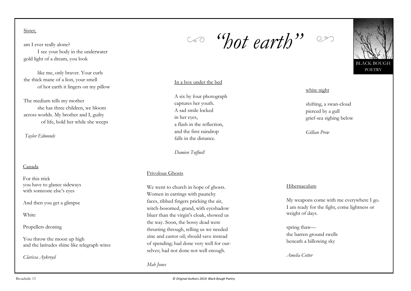Sister,

am I ever really alone? I see your body in the underwater gold light of a dream, you look

like me, only braver. Your curls the thick mane of a lion, your smell of hot earth it lingers on my pillow

The medium tells my mother she has three children, we bloom across worlds. My brother and I, guilty of life, hold her while she weeps

*Taylor Edmonds*

#### Canada

For this trick you have to glance sideways with someone else's eyes

And then you get a glimpse

**White** 

#### Propellers droning

You throw the moon up high and the latitudes shine like telegraph wires

*Clarissa Aykroyd*

*"hot earth"*

#### In a box under the bed

A six by four photograph captures her youth. A sad smile locked in her eyes, a flash in the reflection, and the first raindrop falls in the distance.

*Damien Tuffnell*

#### Frivolous Ghosts

We went to church in hope of ghosts. Women in earrings with paunchy faces, ribbed fingers pricking the air, witch-bosomed, grand, with eyeshadow bluer than the virgin's cloak, showed us the way. Soon, the bossy dead were thrusting through, telling us we needed zinc and castor oil; should save instead of spending; had done very well for ourselves; had not done not well enough.

*Mab Jones*

#### white night

shifting, a swan-cloud pierced by a gull grief-sea sighing below

*Gillian Prew*

#### Hibernaculum

My weapons come with me everywhere I go. I am ready for the fight, come lightness or weight of days.

spring thaw the barren ground swells beneath a billowing sky

*Amelia Cotter*

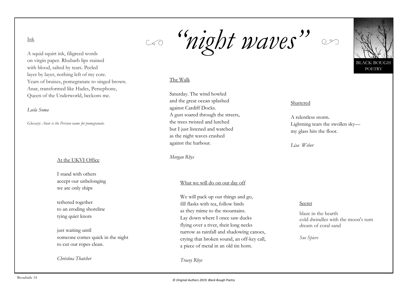#### Ink

A squid squirt ink, filigreed words on virgin paper. Rhubarb lips stained with blood, salted by tears. Peeled layer by layer, nothing left of my core. Years of bruises, pomegranate to singed brown. Anar, transformed like Hades, Persephone, Queen of the Underworld, beckons me.

#### *Leela Soma*

*Glossary: Anar is the Persian name for pomegranate.*

#### At the UKVI Office

I stand with others accept our unbelonging we are only ships

tethered together to an eroding shoreline tying quiet knots

just waiting until someone comes quick in the night to cut our ropes clean.

*Christina Thatcher*

*"night waves"*

#### The Walk

Saturday. The wind howled and the great ocean splashed against Cardiff Docks. A gust soared through the streets, the trees twisted and lurched but I just listened and watched as the night waves crashed against the harbour.

*Morgan Rhys*

#### What we will do on our day off

We will pack up our things and go, fill flasks with tea, follow birds as they mime to the mountains. Lay down where I once saw ducks flying over a river, their long necks narrow as rainfall and shadowing canoes, crying that broken sound, an off-key call, a piece of metal in an old tin horn.

*Tracey Rhys*



**ACK BOUGH POETRY** 

#### Shattered

A relentless storm. Lightning tears the swollen sky my glass hits the floor.

*Lisa Weber*

#### Secret

blaze in the hearth cold dwindles with the moon's turn dream of coral sand

*Sue Spiers*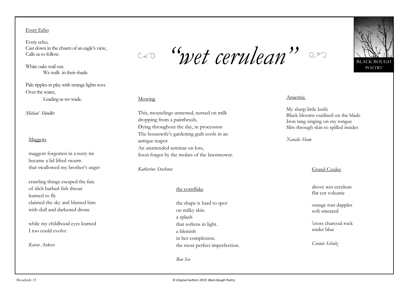#### Every Echo

Every echo, Cast down in the chasm of an eagle's view, Calls us to follow.

White oaks wail out. We walk in their shade

Pale ripples in play with strange lights rove Over the water,

Leading as we wade.

*Michael Shindler*

#### Maggots

maggots forgotten in a rusty tin became a lid lifted swarm that swallowed my brother's anger

crawling things escaped the fate of slick barbed fish throat learned to fly claimed the sky and blamed him with dull and darkened drone

while my childhood eyes learned I too could evolve

*Karen Ankers*

*"wet cerulean"*

#### Mowing

This, mouselings unnested, nursed on milk dropping from a paintbrush, Dying throughout the day, in procession The housewife's gardening guilt cools in an antique teapot An unattended seminar on loss, Soon forgot by the molars of the lawnmower.

#### *Katherine Stockton*

#### the cornflake

the shape is hard to spot on milky skin. a splash that softens in light. a blemish in her complexion. the most perfect imperfection.

*Ben See*



#### Anaemia

My sharp little knife Black blooms oxidised on the blade Iron tang singing on my tongue Slits through skin to spilled insides

*Natalie Shaw*

#### Grand Coulee

above wet cerulean flat cut volcanic

orange rust dapples soft smeared

'cross charcoal rock under blue

*Connie Schulz*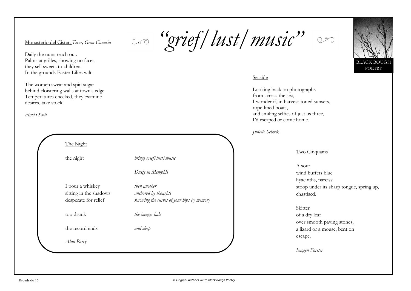$\frac{M_{\text{Onasterio del Cister, Terror, Gran Canaria}}}{M_{\text{Conasterio del Cister, Terror, Gran Canaria}}}$  **"**  $\frac{GV}{dV}$   $\frac{dV}{dV}$   $\frac{dV}{dV}$   $\frac{dV}{dV}$   $\frac{dV}{dV}$   $\frac{dV}{dV}$   $\frac{dV}{dV}$   $\frac{dV}{dV}$   $\frac{dV}{dV}$ 





Seaside

Looking back on photographs from across the sea, I wonder if, in harvest-toned sunsets, rope-lined boats, and smiling selfies of just us three, I'd escaped or come home.

*Juliette Sebock*

#### Two Cinquains

A sour wind buffets blue hyacinths, narcissi stoop under its sharp tongue, spring up, chastised.

#### **Skitter**

of a dry leaf over smooth paving stones, a lizard or a mouse, bent on escape.

*Imogen Forster*

Daily the nuns reach out. Palms at grilles, showing no faces, they sell sweets to children. In the grounds Easter Lilies wilt.

The women sweat and spin sugar behind cloistering walls at town's edge Temperatures checked, they examine desires, take stock.

*Finola Scott*

| brings grief/lust/music                                                           |
|-----------------------------------------------------------------------------------|
| Dusty in Memphis                                                                  |
| then another<br>anchored by thoughts<br>knowing the curves of your hips by memory |
| the images fade                                                                   |
| and sleep                                                                         |
|                                                                                   |
|                                                                                   |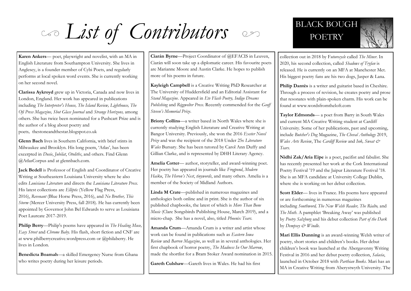*List of Contributors* BLACK BOUGH

**Karen Ankers**— poet, playwright and novelist, with an MA in English Literature from Southampton University. She lives in Anglesey, is a founder member of Cybi Poets, and regularly performs at local spoken word events. She is currently working on her second novel.

**Clarissa Aykroyd** grew up in Victoria, Canada and now lives in London, England. Her work has appeared in publications including *The Interpreter's House, The Island Review, Lighthouse, The Ofi Press Magazine, Shot Glass Journal* and *Strange Horizons,* among others. She has twice been nominated for a Pushcart Prize and is the author of a blog about poetry and poets*,* thestoneandthestar.blogspot.co.uk

**Glenn Bach** lives in Southern California, with brief stints in Milwaukee and Brooklyn. His long poem, 'Atlas', has been excerpted in *Dusie*, *Jubilat*, *Otoliths*, and others. Find Glenn @AtlasCorpus and at glennbach.com.

**Jack Bedell** is Professor of English and Coordinator of Creative Writing at Southeastern Louisiana University where he also edits *Louisiana Literature* and directs the *Louisiana Literature Press.* His latest collections are *Elliptic* (Yellow Flag Press, 2016), *Revenant* (Blue Horse Press, 2016), and *No Brother, This Storm* (Mercer University Press, fall 2018). He has currently been appointed by Governor John Bel Edwards to serve as Louisiana Poet Laureate 2017-2019.

**Philip Berry**—Philip's poems have appeared in *The Healing Muse, Easy Street* and *Chrome Baby*. His flash, short fiction and CNF are at www.philberrycreative.wordpress.com or @philaberry. He lives in London.

**Benedicta Boamah**—a skilled Emergency Nurse from Ghana who writes poetry during her leisure periods.

**Ciarán Byrne**—Project Coordinator of @EFACIS in Leuven, Ciarán will soon take up a diplomatic career. His favourite poets are Marianne Moore and Austin Clarke. He hopes to publish more of his poems in future.

**Kayleigh Campbell** is a Creative Writing PhD Researcher at The University of Huddersfield and an Editorial Assistant for *Stand Magazine*. Appeared in *Ete Flash Poetry, Indigo Dreams Publishing* and *Riggwelter Press*. Recently commended for the *Geoff Steven's Memorial Prize*.

**Briony Collins**—a writer based in North Wales where she is currently studying English Literature and Creative Writing at Bangor University. Previously, she won the 2016 *Exeter Novel Prize* and was the recipient of the 2018 Under 25s *Literature Wales* Bursary. She has been tutored by Carol Ann Duffy and Gillian Clarke, and is represented by DHH Literary Agency.

**Amelia Cotter**— author, storyteller, and award-winning poet. Her poetry has appeared in journals like *Frogpond*, *Modern Haiku*, *The Heron's Nest*, *tinywords*, and many others. Amelia is a member of the Society of Midland Authors.

**Linda M Crate**—published in numerous magazines and anthologies both online and in print. She is the author of six published chapbooks, the latest of which is *More Than Bone Music* (Clare Songsbirds Publishing House, March 2019), and a micro-chap. She has a novel, also, titled *Phoenix Tears.*

**Amanda Crum**—Amanda Crum is a writer and artist whose work can be found in publications such as *Eastern Iowa Review* and *Barren Magazine*, as well as in several anthologies. Her first chapbook of horror poetry, *The Madness In Our Marrow*, made the shortlist for a Bram Stoker Award nomination in 2015.

**Gareth Culshaw**—Gareth lives in Wales. He had his first

# **POETRY**



collection out in 2018 by F*uturecycle* called *The Miner*. In 2020, his second collection, called *Shadows of Tryfan* is released. He is currently on an MFA at Manchester Met. His biggest poetry fans are his two dogs, Jasper & Lana.

**Philip Dantès** is a writer and guitarist based in Cheshire. Through a process of revision, he creates poetry and prose that resonates with plain-spoken charm. His work can be found at www.wordsfromtheloft.com

**Taylor Edmonds**— a poet from Barry in South Wales and current MA Creative Writing student at Cardiff University. Some of her publications, past and upcoming, include *Butcher's Dog* Magazine, *The Cheval Anthology* 2019, *Wales Arts Review*, The *Cardiff Review* and *Ink, Sweat & Tears*.

**Nidhi Zak/Aria Eipe** is a poet, pacifist and fabulist. She has recently presented her work at the Cork International Poetry Festival '19 and the Jaipur Literature Festival '18. She is an MFA candidate at University College Dublin, where she is working on her debut collection.

**Scott Elder**— lives in France. His poems have appeared or are forthcoming in numerous magazines including *Southword, The New Welsh Reader, The Rialto,* and *The Moth*. A pamphlet 'Breaking Away' was published by *Poetry Salzburg* and his debut collection *Part of the Dark* by *Dempsey & Windle.*

**Mari Ellis Dunning** is an award-winning Welsh writer of poetry, short stories and children's books. Her debut children's book was launched at the Abergavenny Writing Festival in 2016 and her debut poetry collection, *Salacia*, launched in October 2018 with *Parthian Books*. Mari has an MA in Creative Writing from Aberystwyth University. The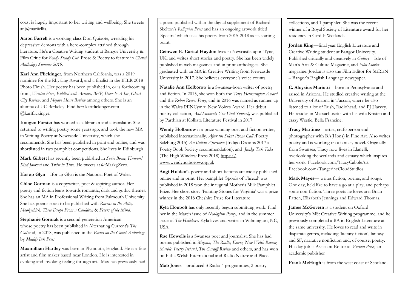coast is hugely important to her writing and wellbeing. She tweets at @mariiellis.

**Aaron Farrell** is a working-class Don Quixote, wrestling his depressive demons with a hero-complex attained through literature. He's a Creative Writing student at Bangor University & Film Critic for *Ready Steady Cut*. Prose & Poetry to feature in *Cheval Anthology Summer 2019*.

**Kari Ann Flickinger**, from Northern California, was a 2019 nominee for the Rhysling Award, and a finalist in the IHLR 2018 Photo Finish. Her poetry has been published in, or is forthcoming from, *Written Here*, *Riddled with Arrows, BHP*, *Door-Is-A-Jar*, *Ghost City Review,* and *Mojave Heart Review* among others. She is an alumna of UC Berkeley. Find her: kariflickinger.com @kariflickinger.

**Imogen Forster** has worked as a librarian and a translator. She returned to writing poetry some years ago, and took the new MA in Writing Poetry at Newcastle University, which she recommends. She has been published in print and online, and was shortlisted in two pamphlet competitions. She lives in Edinburgh

**Mark Gilbert** has recently been published in *Sonic Boom*, *Human/ Kind Journal* and *Twist in Time*. He tweets at @MarkgZero.

**Ifor ap Glyn**—Ifor ap Glyn is the National Poet of Wales.

**Chloe Gorman** is a copywriter, poet & aspiring author. Her poetry and fiction leans towards romantic, dark and gothic themes. She has an MA in Professional Writing from Falmouth University. She has poems soon to be published with *Ravens in the Attic, Mookychick, Three Drops From a Cauldron* & *Fevers of the Mind*.

**Stephanie Gorniak** is a second-generation American whose poetry has been published in Alternating Current's *The Coil* and, in 2018, was published in the *Poems on the Comet Anthology*  by *Muddy Ink Press*

**Maxmillian Hartley** was born in Plymouth, England. He is a fine artist and film maker based near London. He is interested in evoking and invoking feeling through art. Max has previously had

a poem published within the digital supplement of Richard Skelton's *Reliquiae Press* and has an ongoing artwork titled 'Spectra' which uses his poetry from 2015-2018 as its starting point.

**Ceinwen E. Cariad Haydon** lives in Newcastle upon Tyne, UK, and writes short stories and poetry. She has been widely published in web magazines and in print anthologies. She graduated with an MA in Creative Writing from Newcastle University in 2017. She believes everyone's voice counts.

**Natalie Ann Holborow** is a Swansea-born writer of poetry and fiction. In 2015, she won both the *Terry Hetherington Award*  and the *Robin Reeves Prize*, and in 2016 was named as runner-up in the Wales PENCymru New Voices Award. Her debut poetry collection, *And Suddenly You Find Yourself,* was published by Parthian at Kolkata Literature Festival in 2017

**Wendy Holborow** is a prize winning poet and fiction writer, published internationally. *After the Silent Phone Call (*Poetry Salzburg 2015) *An Italian Afternoon* (Indigo Dreams 2017 a Poetry Book Society recommendation), and *Janky Tuk Tuks* (The High Window Press 2018) [https://](https://www.wendyholborow.org.uk/) [www.wendyholborow.org.uk](https://www.wendyholborow.org.uk/)

**Angi Holden's** poetry and short-fictions are widely published online and in print. Her pamphlet 'Spools of Thread' was published in 2018 won the inaugural Mother's Milk Pamphlet Prize. Her short story 'Painting Stones for Virginia' was a prize winner in the 2018 Cheshire Prize for Literature

**Kyla Houbolt** has only recently begun submitting work. Find her in the March issue of *Neologism Poetry*, and in the summer issue of *The Hellebore*. Kyla lives and writes in Wilmington, NC, USA.

**Rae Howells** is a Swansea poet and journalist. She has had poems published in *Magma, The Rialto, Envoi, New Welsh Review, Marble, Poetry Ireland*, *The Cardiff Review* and others, and has won both the Welsh International and Rialto Nature and Place.

**Mab Jones**—produced 3 Radio 4 programmes, 2 poetry

collections, and 1 pamphlet. She was the recent winner of a Royal Society of Literature award for her residency in Cardiff Wetlands.

**Jordan King**—final year English Literature and Creative Writing student at Bangor University. Published critically and creatively in *Gallery* – Isle of Man's Arts & Culture Magazine, and *Film Stories*  magazine. Jordan is also the Film Editor for SEREN – Bangor's English Language newspaper.

**C. Aloysius Mariotti** - born in Pennsylvania and raised in Arizona. He studied creative writing at the University of Arizona in Tucson, where he also listened to a lot of Rush, Radiohead, and PJ Harvey. He resides in Massachusetts with his wife Kristen and crazy Westie, Bella Francine.

**Tracy Martinez**—artist, craftsperson and photographer with BA(Hons) in Fine Art. Also writes poetry and is working on a fantasy novel. Originally from Swansea, Tracy now lives in Llanelli, overlooking the wetlands and estuary which inspires her work. Facebook.com/TracyCabbleArt. Facebook.com/TangerineCloudStudios

**Mark Mayes**— writes fiction, poems, and songs. One day, he'd like to have a go at a play, and perhaps some non-fiction. Three poets he loves are: Brian Patten, Elizabeth Jennings and Edward Thomas.

**James McGovern** is a student on Oxford University's MSt Creative Writing programme, and he previously completed a BA in English Literature at the same university. He loves to read and write in disparate genres, including 'literary fiction', fantasy and SF, narrative nonfiction and, of course, poetry. His day job is Assistant Editor at *Vernon Press*, an academic publisher

Frank McHugh is from the west coast of Scotland.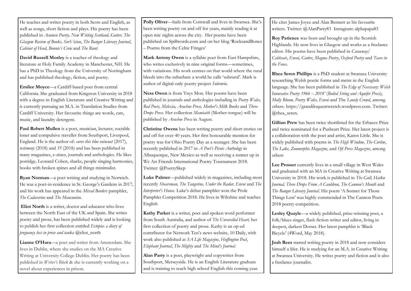He teaches and writes poetry in both Scots and English, as well as songs, short fiction and plays. His poetry has been published in *Acumen Poetry, New Writing Scotland, Gutter, The Glasgow Review of Books, SurVision*, *The Bangor Literary Journal*, *Cabinet of Heed*, *Bonnie's Crew* and *The Runt*.

**David Russell Mosley** is a teacher of theology and literature at Holy Family Academy in Manchester, NH. He has a PhD in Theology from the University of Nottingham and has published theology, fiction, and poetry.

**Emilee Moyce**—a Cardiff-based poet from central California. She graduated from Kingston University in 2018 with a degree in English Literature and Creative Writing and is currently pursuing an M.A. in Translation Studies from Cardiff University. Her favourite things are words, cats, music, and laundry detergent.

**Paul Robert Mullen** is a poet, musician, lecturer, sociable loner and compulsive traveller from Southport, Liverpool, England. He is the author of: *curse this blue raincoat* (2017), *testimony* (2018) and *35* (2018*)* and has been published in many magazines, e-zines, journals and anthologies. He likes porridge, Leonard Cohen, sharks, people singing harmonies, books with broken spines and all things minimalist.

**Ryan Norman**—a poet writing and studying in Norwich. He was a poet-in-residence in St. George's Gardens in 2017, and his work has appeared in the *Mixed Borders* pamphlet, *The Cadaverine* and *The Mancunion.* 

**Eliot North** is a writer, doctor and educator who lives between the North East of the UK and Spain. She writes poetry and prose, has been published widely and is looking to publish her first collection entitled *Ectopia*: *a diary of pregnancy loss in prose and tanka* @eliot\_north

**Lianne O'Hara**—a poet and writer from Amsterdam. She lives in Dublin, where she studies on the MA Creative Writing at University College Dublin. Her poetry has been published in *Writer's Block* & she is currently working on a novel about experiences in prison.

**Polly Oliver**—hails from Cornwall and lives in Swansea. She's been writing poetry on and off for years, mainly reading it at open mic nights across the city. Her poems have been published on Spillwords.com and on her blog 'RocksandBones – Poems from the Celtic Fringes'

**Mark Antony Owen** is a syllabic poet from East Hampshire, who writes exclusively in nine original forms—sometimes, with variations. His work centres on that world where the rural bleeds into the suburban: a world he calls 'subrural'. Mark is author of digital-only poetry project *Subruria*.

**Ness Owen** is from Ynys Mon. Her poems have been published in journals and anthologies including in *Poetry Wales, Red Poets, Mslexia, Arachne Press, Mother's Milk Books* and *Three Drops Press*. Her collection *Mamiaith* (Mother-tongue) will be published by *Arachne Press* in August.

**Christine Owens** has been writing poetry and short stories on and off for over 40 years. Her first honourable mention for poetry was for Ohio Poetry Day as a teenager. She has been recently published in 2017 in *A Poet's Picnic Anthology* in Albuquerque, New Mexico as well as receiving a runner up in We Art Friends International Poetry Tournament 2018. Twitter: @PoetrySkep

**Luke Palmer**—published widely in magazines, including most recently *Shearsman, The Tangerine, Under the Radar, Envoi* and *The Interpreter's House*. Luke's debut pamphlet won the Prole Pamphlet Competition 2018. He lives in Wiltshire and teaches English

**Kathy Parker** is a writer, poet and spoken word performer from South Australia, and author of *The Unravelled Heart,* her first collection of poetry and prose. Kathy is an op-ed contributor for Network Ten's news website, 10 Daily, with work also published at *SA Life Magazine*, *Huffington Post*, *Elephant Journal*, *The Mighty* and *The Mind's Journal*.

**Alan Parry** is a poet, playwright and copywriter from Southport, Merseyside. He is an English Literature graduate and is training to teach high school English this coming year. He cites James Joyce and Alan Bennett as his favourite writers. Twitter: @AlanParry83 Instagram: alphapapa83

**Roy Patience** was born and brought up in the Scottish Highlands. He now lives in Glasgow and works as a freelance editor. His poems have been published in *Causeway/ Cabhsair*, *Envoi*, *Gutter*, *Magma Poetry*, *Oxford Poetry* and *Tears in the Fence*.

**Rhea Seren Phillips** is a PhD student at Swansea University researching Welsh poetic forms and metre in the English language. She has been published in *The Edge of Necessary: Welsh Innovative Poetry 1966 – 2018'* (*Boiled String and Aquifer Press*); *Molly Bloom, Poetry Wales, Envoi* and The *Lonely Crowd*, among others. https://grandiloquentwretch.wordpress.com. Twitter: @rhea\_seren.

**Gillian Prew** has been twice shortlisted for the Erbacce Prize and twice nominated for a Pushcart Prize. Her latest project is a collaboration with the poet and artist, Karen Little. She is widely published with poems in *The High Window*, *The Curlew*, *The Lake*, *Zoomorphic Magazine*, and *Ofi Press Magazine*, among others

Lee Prosser currently lives in a small village in West Wales and graduated with an MA in Creative Writing at Swansea University in 2018. His work is published in *The Gull, Haiku Journal, Three Drops From A Cauldron, The Cannon's Mouth* and *The Bangor Literary Journal*. His poem 'A Sonnet for Those Things Lost' was highly commended in The Cannon Poets 2018 poetry competition.

**Lesley Quayle**—a widely published, prize-winning poet, a folk/blues singer, flash fiction writer and editor, living in deepest, darkest Dorset. Her latest pamphlet is 'Black Bicycle' (4Word, May 2018).

**Josh Rees** started writing poetry in 2018 and now considers himself a lifer. He is studying for an M.A. in Creative Writing at Swansea University. He writes poetry and fiction and is also a freelance journalist.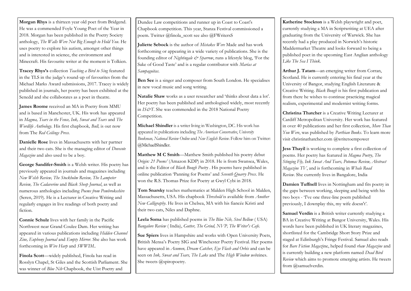**Morgan Rhys** is a thirteen year old poet from Bridgend. He was a commended Foyle Young Poet of the Year in 2018. Morgan has been published in the Poetry Society anthology, *The Walls Were Not Big Enough to Hold You*. He uses poetry to explore his autism, amongst other things and is interested in science, the environment and Minecraft. His favourite writer at the moment is Tolkien.

**Tracey Rhys's** collection *Teaching a Bird to Sing* featured in the TLS in the judge's round-up of favourites from the Michael Marks Award submissions, 2017. Tracey is widely published in journals, her poetry has been exhibited at the Senedd and she collaborates as a poet in theatre.

**James Roome** received an MA in Poetry from MMU and is based in Manchester, UK. His work has appeared in *Magma, Tears in the Fence, Ink, Sweat and Tears* and *The Wordlife Anthology.* His first chapbook*, Bull,* is out now from The *Red Ceilings Press.* 

**Danielle Rose** lives in Massachusetts with her partner and their two cats. She is the managing editor of *Dovecote Magazine* and also used to be a boy.

**George Sandifer-Smith** is a Welsh writer. His poetry has previously appeared in journals and magazines including *New Welsh Review, The Stockholm Review, The Lampeter Review, The Cadaverine* and *Black Sheep Journal*, as well as numerous anthologies including *Poems from Pembrokeshire* (Seren, 2019). He is a Lecturer in Creative Writing and regularly engages in live readings of both poetry and fiction.

**Connie Schulz** lives with her family in the Pacific Northwest near Grand Coulee Dam. Her writing has appeared in various publications including *Hidden Channel Zine, Euphony Journal* and *Empty Mirror*. She also has work forthcoming in *Wire Harp* and *SWWIM..* 

**Finola Scott**—widely published, Finola has read in Rosslyn Chapel, St Giles and the Scottish Parliament. She was winner of *Blue Nib* Chapbook, the Uist Poetry and

Dundee Law competitions and runner up in Coast to Coast's Chapbook competition. This year, Stanza Festival commissioned a poem. Twitter @finola\_scott see also @FWritersS

**Juliette Sebock** is the author of *Mistakes Were* Made and has work forthcoming or appearing in a wide variety of publications. She is the founding editor of *Nightingale & Sparrow*, runs a lifestyle blog, 'For the Sake of Good Taste' and is a regular contributor with *Marías at Sampaguitas*.

**Ben See** is a singer and composer from South London. He specialises in new vocal music and song writing.

**Natalie Shaw** works as a user researcher and 'thinks about data a lot'. Her poetry has been published and anthologised widely, most recently in *IS&T*. She was commended in the 2018 National Poetry Competition.

**Michael Shindler** is a writer living in Washington, DC. His work has appeared in publications including *The American Conservative*, *University Bookman, National Review Online* and *New English Review*. Follow him on Twitter: [@MichaelShindler.](https://twitter.com/MichaelShindler)

**Matthew M C Smith**—Matthew Smith published his poetry debut *Origin: 21 Poems'* (Amazon KDP) in 2018. He is from Swansea, Wales, and is the Editor of *Black Bough Poetry* . His poems have published in online publication 'Panning for Poems' and *Seventh Quarry Press*. He won the R.S. Thomas Prize for Poetry at Gwyl Cybi in 2018.

**Tom Snarsky** teaches mathematics at Malden High School in Malden, Massachusetts, USA. His chapbook *Threshold* is available from *Another New Calligraphy*. He lives in Chelsea, MA with his fiancée Kristi and their two cats, Niles and Daphne.

**Leela Soma** has published poems in *The Blue Nib, Steel Bellow* ( USA) *Bangalore Review* ( India), *Gutter, The Grind, NVP, The Writer's Cafe*.

**Sue Spiers** lives in Hampshire and works with Open University Poets, British Mensa's Poetry SIG and Winchester Poetry Festival. Her poems have appeared in *Acumen, Dream Catcher, Eye Flash and Orbis* and can be seen on *Ink, Sweat and Tears, The Lake* and The *High Window web*zines. She tweets @spiropoetry.

**Katherine Stockton** is a Welsh playwright and poet, currently studying a MA in Scriptwriting at UEA after graduating from the University of Warwick. She has recently had a play produced in Norwich's historic Maddermarket Theatre and looks forward to being a published poet in the upcoming East Anglian anthology *Like The Sea I Think*.

**Arthur J. Tatam**—an emerging writer from Corran, Scotland. He is currently entering his final year at the University of Bangor, studying English Literature & Creative Writing. *Black Bough* is his first publication and from there he wishes to continue practicing magical realism, experimental and modernist writing forms.

**Christina Thatcher** is a Creative Writing Lecturer at Cardiff Metropolitan University. Her work has featured in over 40 publications and her first collection, *More Than You Were*, was published by *Parthian Books*. To learn more visit christinathatcher.com @writetoempower

**Jess Thayil** is working to complete a first collection of poems. Her poetry has featured in *Magma Poetry, The Stinging Fly, Ink Sweat And Tears, Potomac Review, Abstract Magazine TV*, and is forthcoming in *Whale Road Review*. She currently lives in Bangalore, India

**Damien Tuffnell** lives in Nottingham and fits poetry in the gaps between working, sleeping and being with his two boys - 'I've one three-line poem published previously, I downplay this, my wife doesn't'.

Samuel Verdin is a British writer currently studying a BA in Creative Writing at Bangor University, Wales. His words have been published in UK literary magazines, shortlisted for the Cambridge Short Story Prize and staged at Edinburgh's Fringe Festival. Samuel also reads for *Bare Fiction Magaz*ine, helped found *rhaw Magazine* and is currently building a new platform named *Dead Bird Review* which aims to promote emerging artists. He tweets from @samuelverdin.